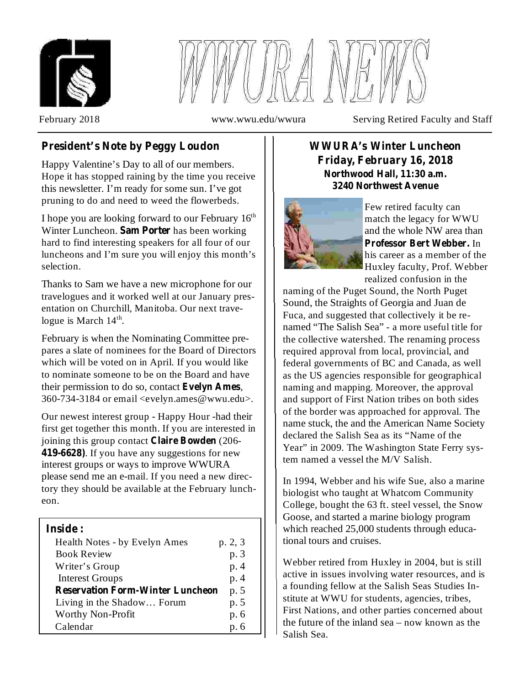



February 2018 **WWW.www.wwu.edu/wwura** Serving Retired Faculty and Staff

# **President's Note by Peggy Loudon**

Happy Valentine's Day to all of our members. Hope it has stopped raining by the time you receive this newsletter. I'm ready for some sun. I've got pruning to do and need to weed the flowerbeds.

I hope you are looking forward to our February 16<sup>th</sup> Winter Luncheon. Sam Porter has been working hard to find interesting speakers for all four of our luncheons and I'm sure you will enjoy this month's selection.

Thanks to Sam we have a new microphone for our travelogues and it worked well at our January presentation on Churchill, Manitoba. Our next travelogue is March  $14<sup>th</sup>$ .

February is when the Nominating Committee prepares a slate of nominees for the Board of Directors which will be voted on in April. If you would like to nominate someone to be on the Board and have their permission to do so, contact Evelyn Ames, 360-734-3184 or email <evelyn.ames@wwu.edu>.

Our newest interest group - Happy Hour -had their first get together this month. If you are interested in joining this group contact **Claire Bowden** (206-. If you have any suggestions for new **419-6628)** interest groups or ways to improve WWURA please send me an e-mail. If you need a new directory they should be available at the February luncheon.

### **Inside :**

| Health Notes - by Evelyn Ames           | p. 2, 3 |
|-----------------------------------------|---------|
| <b>Book Review</b>                      | p. 3    |
| Writer's Group                          | p. 4    |
| <b>Interest Groups</b>                  | p. 4    |
| <b>Reservation Form-Winter Luncheon</b> | p. 5    |
| Living in the Shadow Forum              | p. 5    |
| Worthy Non-Profit                       | p. 6    |
| Calendar                                | p. 6    |

### **WWURA's Winter Luncheon Friday, February 16, 2018 Northwood Hall, 11:30 a.m. 3240 Northwest Avenue**



Few retired faculty can match the legacy for WWU and the whole NW area than **Professor Bert Webber.** In his career as a member of the Huxley faculty, Prof. Webber realized confusion in the

naming of the Puget Sound, the North Puget Sound, the Straights of Georgia and Juan de Fuca, and suggested that collectively it be renamed "The Salish Sea" - a more useful title for the collective watershed. The renaming process required approval from local, provincial, and federal governments of BC and Canada, as well as the US agencies responsible for geographical naming and mapping. Moreover, the approval and support of First Nation tribes on both sides of the border was approached for approval. The name stuck, the and the American Name Society declared the Salish Sea as its "Name of the Year" in 2009. The Washington State Ferry system named a vessel the M/V Salish.

In 1994, Webber and his wife Sue, also a marine biologist who taught at Whatcom Community College, bought the 63 ft. steel vessel, the Snow Goose, and started a marine biology program which reached 25,000 students through educational tours and cruises.

Webber retired from Huxley in 2004, but is still active in issues involving water resources, and is a founding fellow at the Salish Seas Studies Institute at WWU for students, agencies, tribes, First Nations, and other parties concerned about the future of the inland sea – now known as the Salish Sea.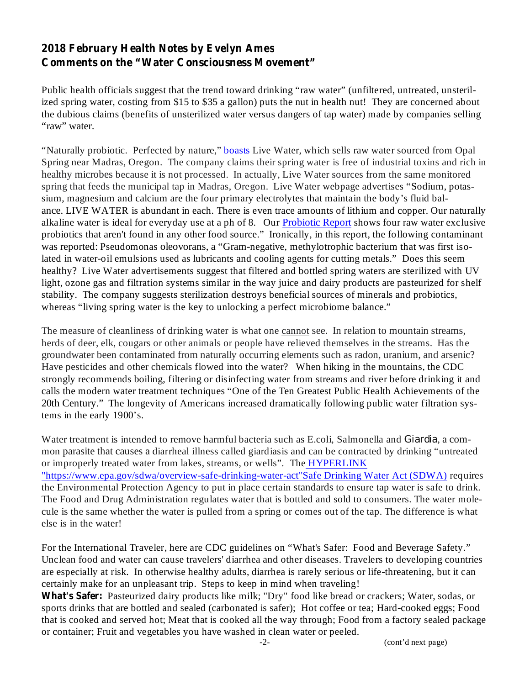## **2018 February Health Notes by Evelyn Ames Comments on the "Water Consciousness Movement"**

Public health officials suggest that the trend toward drinking "raw water" (unfiltered, untreated, unsterilized spring water, costing from \$15 to \$35 a gallon) puts the nut in health nut! They are concerned about the dubious claims (benefits of unsterilized water versus dangers of tap water) made by companies selling "raw" water.

"Naturally probiotic. Perfected by nature," **boasts** Live Water, which sells raw water sourced from Opal Spring near Madras, Oregon. The company claims their spring water is free of industrial toxins and rich in healthy microbes because it is not processed. In actually, Live Water sources from the same monitored spring that feeds the municipal tap in Madras, Oregon. Live Water webpage advertises "Sodium, potassium, magnesium and calcium are the four primary electrolytes that maintain the body's fluid balance. LIVE WATER is abundant in each. There is even trace amounts of lithium and copper. Our naturally alkaline water is ideal for everyday use at a ph of 8. Our Probiotic Report shows four raw water exclusive probiotics that aren't found in any other food source." Ironically, in this report, the following contaminant was reported: Pseudomonas oleovorans, a "Gram-negative, methylotrophic bacterium that was first isolated in water-oil emulsions used as lubricants and cooling agents for cutting metals." Does this seem healthy? Live Water advertisements suggest that filtered and bottled spring waters are sterilized with UV light, ozone gas and filtration systems similar in the way juice and dairy products are pasteurized for shelf stability. The company suggests sterilization destroys beneficial sources of minerals and probiotics, whereas "living spring water is the key to unlocking a perfect microbiome balance."

The measure of cleanliness of drinking water is what one cannot see. In relation to mountain streams, herds of deer, elk, cougars or other animals or people have relieved themselves in the streams. Has the groundwater been contaminated from naturally occurring elements such as radon, uranium, and arsenic? Have pesticides and other chemicals flowed into the water? When hiking in the mountains, the CDC strongly recommends boiling, filtering or disinfecting water from streams and river before drinking it and calls the modern water treatment techniques "One of the Ten Greatest Public Health Achievements of the 20th Century." The longevity of Americans increased dramatically following public water filtration systems in the early 1900's.

Water treatment is intended to remove harmful bacteria such as E.coli, Salmonella and Giardia, a common parasite that causes a diarrheal illness called giardiasis and can be contracted by drinking "untreated or improperly treated water from lakes, streams, or wells". The HYPERLINK "https://www.epa.gov/sdwa/overview-safe-drinking-water-act"Safe Drinking Water Act (SDWA) requires the Environmental Protection Agency to put in place certain standards to ensure tap water is safe to drink. The Food and Drug Administration regulates water that is bottled and sold to consumers. The water molecule is the same whether the water is pulled from a spring or comes out of the tap. The difference is what else is in the water!

For the International Traveler, here are CDC guidelines on "What's Safer: Food and Beverage Safety." Unclean food and water can cause travelers' diarrhea and other diseases. Travelers to developing countries are especially at risk. In otherwise healthy adults, diarrhea is rarely serious or life-threatening, but it can certainly make for an unpleasant trip. Steps to keep in mind when traveling!

**What's Safer:** Pasteurized dairy products like milk; "Dry" food like bread or crackers; Water, sodas, or sports drinks that are bottled and sealed (carbonated is safer); Hot coffee or tea; Hard-cooked eggs; Food that is cooked and served hot; Meat that is cooked all the way through; Food from a factory sealed package or container; Fruit and vegetables you have washed in clean water or peeled.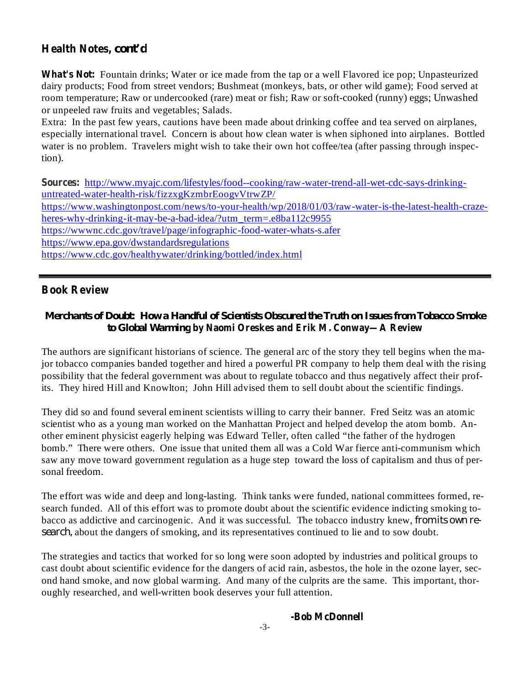## **Health Notes,** *cont'd*

**What's Not:** Fountain drinks; Water or ice made from the tap or a well Flavored ice pop; Unpasteurized dairy products; Food from street vendors; Bushmeat (monkeys, bats, or other wild game); Food served at room temperature; Raw or undercooked (rare) meat or fish; Raw or soft-cooked (runny) eggs; Unwashed or unpeeled raw fruits and vegetables; Salads.

Extra: In the past few years, cautions have been made about drinking coffee and tea served on airplanes, especially international travel. Concern is about how clean water is when siphoned into airplanes. Bottled water is no problem. Travelers might wish to take their own hot coffee/tea (after passing through inspection).

**Sources:** http://www.myajc.com/lifestyles/food--cooking/raw-water-trend-all-wet-cdc-says-drinkinguntreated-water-health-risk/fizzxgKzmbrEoogvVtrwZP/ https://www.washingtonpost.com/news/to-your-health/wp/2018/01/03/raw-water-is-the-latest-health-crazeheres-why-drinking-it-may-be-a-bad-idea/?utm\_term=.e8ba112c9955 https://wwwnc.cdc.gov/travel/page/infographic-food-water-whats-s.afer https://www.epa.gov/dwstandardsregulations https://www.cdc.gov/healthywater/drinking/bottled/index.html

### **Book Review**

### **by Naomi Oreskes and Erik M. Conway—A Review** *to Global Warming Merchants of Doubt: How a Handful of Scientists Obscured the Truth on Issues from Tobacco Smoke*

The authors are significant historians of science. The general arc of the story they tell begins when the major tobacco companies banded together and hired a powerful PR company to help them deal with the rising possibility that the federal government was about to regulate tobacco and thus negatively affect their profits. They hired Hill and Knowlton; John Hill advised them to sell doubt about the scientific findings.

They did so and found several eminent scientists willing to carry their banner. Fred Seitz was an atomic scientist who as a young man worked on the Manhattan Project and helped develop the atom bomb. Another eminent physicist eagerly helping was Edward Teller, often called "the father of the hydrogen bomb." There were others. One issue that united them all was a Cold War fierce anti-communism which saw any move toward government regulation as a huge step toward the loss of capitalism and thus of personal freedom.

The effort was wide and deep and long-lasting. Think tanks were funded, national committees formed, research funded. All of this effort was to promote doubt about the scientific evidence indicting smoking tobacco as addictive and carcinogenic. And it was successful. The tobacco industry knew, *from its own re*search, about the dangers of smoking, and its representatives continued to lie and to sow doubt.

The strategies and tactics that worked for so long were soon adopted by industries and political groups to cast doubt about scientific evidence for the dangers of acid rain, asbestos, the hole in the ozone layer, second hand smoke, and now global warming. And many of the culprits are the same. This important, thoroughly researched, and well-written book deserves your full attention.

#### **-Bob McDonnell**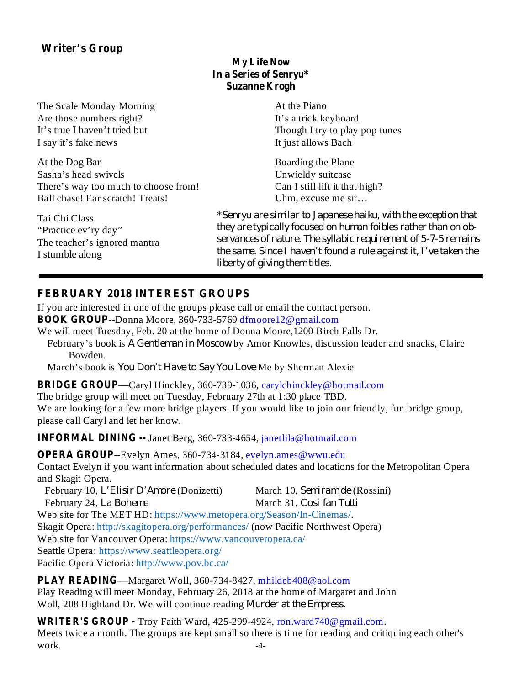# **Writer's Group**

### **My Life Now In a Series of Senryu\* Suzanne Krogh**

The Scale Monday Morning Are those numbers right? It's true I haven't tried but I say it's fake news

At the Dog Bar Sasha's head swivels There's way too much to choose from! Ball chase! Ear scratch! Treats!

Tai Chi Class "Practice ev'ry day" The teacher's ignored mantra I stumble along

At the Piano It's a trick keyboard Though I try to play pop tunes It just allows Bach

Boarding the Plane Unwieldy suitcase Can I still lift it that high? Uhm, excuse me sir…

\* *Senryu are similar to Japanese haiku, with the exception that they are typically focused on human foibles rather than on observances of nature. The syllabic requirement of 5-7-5 remains the same. Since I haven't found a rule against it, I've taken the liberty of giving them titles.*

## **FEBRUARY 2018 INTEREST GROUPS**

If you are interested in one of the groups please call or email the contact person.

**BOOK GROUP** --Donna Moore, 360-733-5769 dfmoore12@gmail.com

We will meet Tuesday, Feb. 20 at the home of Donna Moore,1200 Birch Falls Dr.

February's book is A Gentleman in Moscow by Amor Knowles, discussion leader and snacks, Claire Bowden.

March's book is You Don't Have to Say You Love Me by Sherman Alexie

**BRIDGE GROUP** —Caryl Hinckley, 360-739-1036, carylchinckley@hotmail.com

The bridge group will meet on Tuesday, February 27th at 1:30 place TBD.

We are looking for a few more bridge players. If you would like to join our friendly, fun bridge group, please call Caryl and let her know.

**INFORMAL DINING --** Janet Berg, 360-733-4654, janetlila@hotmail.com

**OPERA GROUP**--Evelyn Ames, 360-734-3184, evelyn.ames@wwu.edu

Contact Evelyn if you want information about scheduled dates and locations for the Metropolitan Opera and Skagit Opera.

February 10, *L'Elisir D'Amore* (Donizetti) March 10, Semiramide (Rossini) February 24, La Boheme Web site for The MET HD: https://www.metopera.org/Season/In-Cinemas/. Skagit Opera: http://skagitopera.org/performances/ (now Pacific Northwest Opera) Web site for Vancouver Opera: https://www.vancouveropera.ca/ Seattle Opera: https://www.seattleopera.org/ Pacific Opera Victoria: http://www.pov.bc.ca/ *March 31, Cosi fan Tutti* 

**PLAY READING** —Margaret Woll, 360-734-8427, mhildeb408@aol.com Play Reading will meet Monday, February 26, 2018 at the home of Margaret and John Woll, 208 Highland Dr. We will continue reading *Murder at the Empress.*

**WRITER'S GROUP -** Troy Faith Ward, 425-299-4924, ron.ward740@gmail.com. Meets twice a month. The groups are kept small so there is time for reading and critiquing each other's  $work.$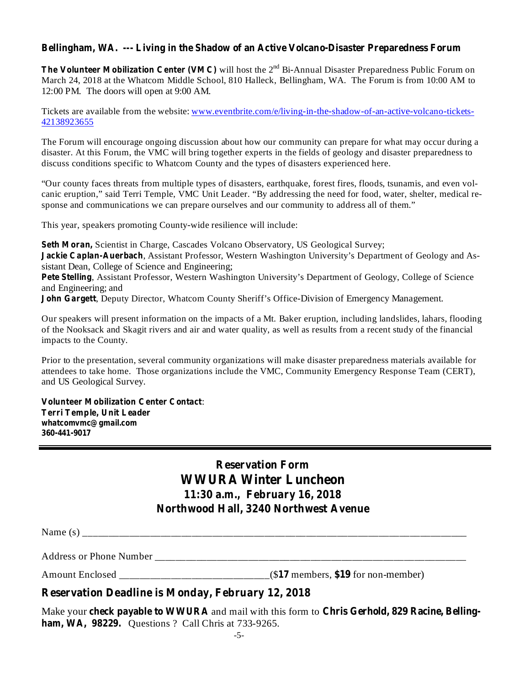#### **Bellingham, WA. --- Living in the Shadow of an Active Volcano-Disaster Preparedness Forum**

**The Volunteer Mobilization Center (VMC)** will host the 2<sup>nd</sup> Bi-Annual Disaster Preparedness Public Forum on March 24, 2018 at the Whatcom Middle School, 810 Halleck, Bellingham, WA. The Forum is from 10:00 AM to 12:00 PM. The doors will open at 9:00 AM.

Tickets are available from the website: www.eventbrite.com/e/living-in-the-shadow-of-an-active-volcano-tickets-42138923655

The Forum will encourage ongoing discussion about how our community can prepare for what may occur during a disaster. At this Forum, the VMC will bring together experts in the fields of geology and disaster preparedness to discuss conditions specific to Whatcom County and the types of disasters experienced here.

"Our county faces threats from multiple types of disasters, earthquake, forest fires, floods, tsunamis, and even volcanic eruption," said Terri Temple, VMC Unit Leader. "By addressing the need for food, water, shelter, medical response and communications we can prepare ourselves and our community to address all of them."

This year, speakers promoting County-wide resilience will include:

Seth Moran, Scientist in Charge, Cascades Volcano Observatory, US Geological Survey; **Jackie Caplan-Auerbach**, Assistant Professor, Western Washington University's Department of Geology and Assistant Dean, College of Science and Engineering; Pete Stelling, Assistant Professor, Western Washington University's Department of Geology, College of Science and Engineering; and **John Gargett, Deputy Director, Whatcom County Sheriff's Office-Division of Emergency Management.** 

Our speakers will present information on the impacts of a Mt. Baker eruption, including landslides, lahars, flooding of the Nooksack and Skagit rivers and air and water quality, as well as results from a recent study of the financial impacts to the County.

Prior to the presentation, several community organizations will make disaster preparedness materials available for attendees to take home. Those organizations include the VMC, Community Emergency Response Team (CERT), and US Geological Survey.

: **Volunteer Mobilization Center Contact Terri Temple, Unit Leader whatcomvmc@gmail.com 360-441-9017**

# **Reservation Form WWURA Winter Luncheon 11:30 a.m., February 16, 2018 Northwood Hall, 3240 Northwest Avenue**

Name (s) \_\_\_\_\_\_\_\_\_\_\_\_\_\_\_\_\_\_\_\_\_\_\_\_\_\_\_\_\_\_\_\_\_\_\_\_\_\_\_\_\_\_\_\_\_\_\_\_\_\_\_\_\_\_\_\_\_\_\_\_\_\_\_\_\_\_\_\_\_\_\_\_\_\_

Address or Phone Number \_\_\_\_\_\_\_\_\_\_\_\_\_\_\_\_\_\_\_\_\_\_\_\_\_\_\_\_\_\_\_\_\_\_\_\_\_\_\_\_\_\_\_\_\_\_\_\_\_\_\_\_\_\_\_\_\_\_\_\_

Amount Enclosed \_\_\_\_\_\_\_\_\_\_\_\_\_\_\_\_\_\_\_\_\_\_\_\_\_\_\_\_\_(\$ members, for non-member) **17 \$19**

#### **Reservation Deadline is Monday, February 12, 2018**

Make your check payable to WWURA and mail with this form to Chris Gerhold, 829 Racine, Belling**ham, WA, 98229.** Questions ? Call Chris at 733-9265.